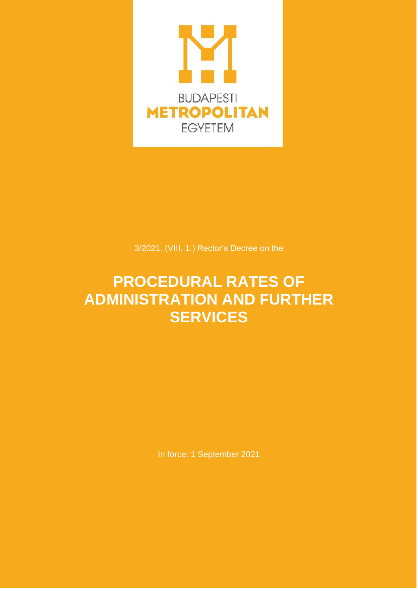

3/2021. (VIII. 1.) Rector's Decree on the

# **PROCEDURAL RATES OF ADMINISTRATION AND FURTHER SERVICES**

In force: 1 September 2021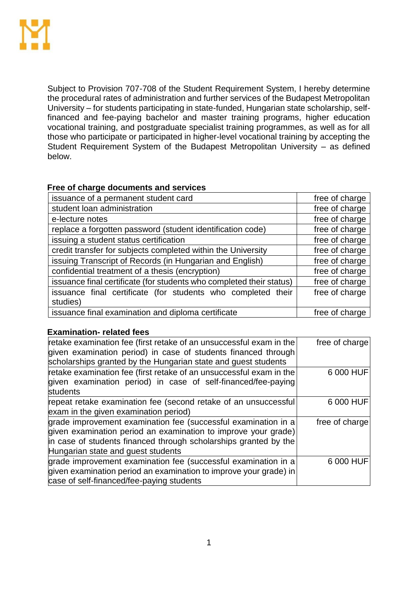

Subject to Provision 707-708 of the Student Requirement System, I hereby determine the procedural rates of administration and further services of the Budapest Metropolitan University – for students participating in state-funded, Hungarian state scholarship, selffinanced and fee-paying bachelor and master training programs, higher education vocational training, and postgraduate specialist training programmes, as well as for all those who participate or participated in higher-level vocational training by accepting the Student Requirement System of the Budapest Metropolitan University – as defined below.

### **Free of charge documents and services**

| issuance of a permanent student card                                 | free of charge |
|----------------------------------------------------------------------|----------------|
| student loan administration                                          | free of charge |
| e-lecture notes                                                      | free of charge |
| replace a forgotten password (student identification code)           | free of charge |
| issuing a student status certification                               | free of charge |
| credit transfer for subjects completed within the University         | free of charge |
| issuing Transcript of Records (in Hungarian and English)             | free of charge |
| confidential treatment of a thesis (encryption)                      | free of charge |
| issuance final certificate (for students who completed their status) | free of charge |
| issuance final certificate (for students who completed their         | free of charge |
| studies)                                                             |                |
| issuance final examination and diploma certificate                   | free of charge |

### **Examination- related fees**

| retake examination fee (first retake of an unsuccessful exam in the<br>given examination period) in case of students financed through<br>scholarships granted by the Hungarian state and guest students                                    | free of charge |
|--------------------------------------------------------------------------------------------------------------------------------------------------------------------------------------------------------------------------------------------|----------------|
| retake examination fee (first retake of an unsuccessful exam in the<br>given examination period) in case of self-financed/fee-paying<br>students                                                                                           | 6 000 HUF      |
| repeat retake examination fee (second retake of an unsuccessful<br>exam in the given examination period)                                                                                                                                   | 6 000 HUF      |
| grade improvement examination fee (successful examination in a<br>given examination period an examination to improve your grade)<br>in case of students financed through scholarships granted by the<br>Hungarian state and guest students | free of charge |
| grade improvement examination fee (successful examination in a<br>given examination period an examination to improve your grade) in<br>case of self-financed/fee-paying students                                                           | 6 000 HUF      |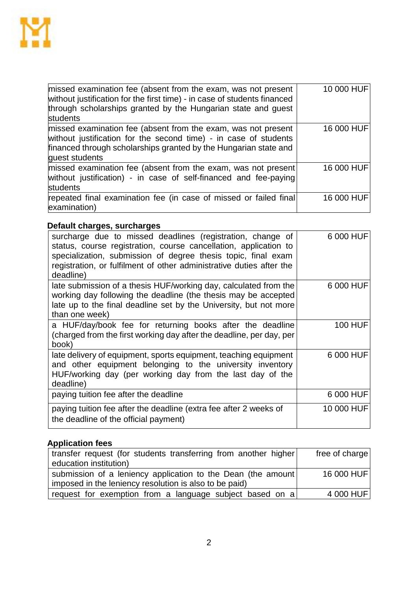

| missed examination fee (absent from the exam, was not present<br>without justification for the first time) - in case of students financed<br>through scholarships granted by the Hungarian state and guest<br>students  | 10 000 HUF |
|-------------------------------------------------------------------------------------------------------------------------------------------------------------------------------------------------------------------------|------------|
| missed examination fee (absent from the exam, was not present<br>without justification for the second time) - in case of students<br>financed through scholarships granted by the Hungarian state and<br>guest students | 16 000 HUF |
| missed examination fee (absent from the exam, was not present)<br>without justification) - in case of self-financed and fee-paying<br>students                                                                          | 16 000 HUF |
| repeated final examination fee (in case of missed or failed final)<br>examination)                                                                                                                                      | 16 000 HUF |

## **Default charges, surcharges**

| surcharge due to missed deadlines (registration, change of<br>status, course registration, course cancellation, application to<br>specialization, submission of degree thesis topic, final exam<br>registration, or fulfilment of other administrative duties after the<br>deadline) | 6 000 HUF      |
|--------------------------------------------------------------------------------------------------------------------------------------------------------------------------------------------------------------------------------------------------------------------------------------|----------------|
| late submission of a thesis HUF/working day, calculated from the<br>working day following the deadline (the thesis may be accepted<br>late up to the final deadline set by the University, but not more<br>than one week)                                                            | 6 000 HUF      |
| a HUF/day/book fee for returning books after the deadline<br>(charged from the first working day after the deadline, per day, per<br>book)                                                                                                                                           | <b>100 HUF</b> |
| late delivery of equipment, sports equipment, teaching equipment<br>and other equipment belonging to the university inventory<br>HUF/working day (per working day from the last day of the<br>deadline)                                                                              | 6 000 HUF      |
| paying tuition fee after the deadline                                                                                                                                                                                                                                                | 6 000 HUF      |
| paying tuition fee after the deadline (extra fee after 2 weeks of<br>the deadline of the official payment)                                                                                                                                                                           | 10 000 HUF     |

# **Application fees**

| transfer request (for students transferring from another higher) | free of charge |
|------------------------------------------------------------------|----------------|
| education institution)                                           |                |
| submission of a leniency application to the Dean (the amount)    | 16 000 HUF     |
| imposed in the leniency resolution is also to be paid)           |                |
| request for exemption from a language subject based on a         | 4 000 HUF      |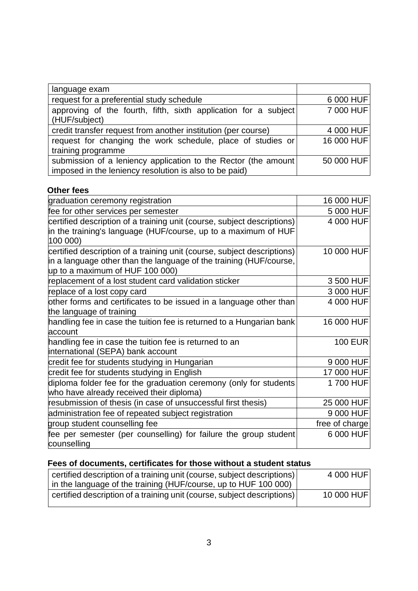| language exam                                                   |            |
|-----------------------------------------------------------------|------------|
| request for a preferential study schedule                       | 6 000 HUF  |
| approving of the fourth, fifth, sixth application for a subject | 7 000 HUF  |
| (HUF/subject)                                                   |            |
| credit transfer request from another institution (per course)   | 4 000 HUF  |
| request for changing the work schedule, place of studies or     | 16 000 HUF |
| training programme                                              |            |
| submission of a leniency application to the Rector (the amount  | 50 000 HUF |
| imposed in the leniency resolution is also to be paid)          |            |

### **Other fees**

| graduation ceremony registration                                                                                                                                                 | 16 000 HUF     |
|----------------------------------------------------------------------------------------------------------------------------------------------------------------------------------|----------------|
| fee for other services per semester                                                                                                                                              | 5 000 HUF      |
| certified description of a training unit (course, subject descriptions)<br>in the training's language (HUF/course, up to a maximum of HUF<br>100 000)                            | 4 000 HUF      |
| certified description of a training unit (course, subject descriptions)<br>in a language other than the language of the training (HUF/course,<br>up to a maximum of HUF 100 000) | 10 000 HUF     |
| replacement of a lost student card validation sticker                                                                                                                            | 3 500 HUF      |
| replace of a lost copy card                                                                                                                                                      | 3 000 HUF      |
| other forms and certificates to be issued in a language other than<br>the language of training                                                                                   | 4 000 HUF      |
| handling fee in case the tuition fee is returned to a Hungarian bank<br>account                                                                                                  | 16 000 HUF     |
| handling fee in case the tuition fee is returned to an<br>international (SEPA) bank account                                                                                      | <b>100 EUR</b> |
| credit fee for students studying in Hungarian                                                                                                                                    | 9 000 HUF      |
| credit fee for students studying in English                                                                                                                                      | 17 000 HUF     |
| diploma folder fee for the graduation ceremony (only for students<br>who have already received their diploma)                                                                    | 1700 HUF       |
| resubmission of thesis (in case of unsuccessful first thesis)                                                                                                                    | 25 000 HUF     |
| administration fee of repeated subject registration                                                                                                                              | 9 000 HUF      |
| group student counselling fee                                                                                                                                                    | free of charge |
| fee per semester (per counselling) for failure the group student<br>counselling                                                                                                  | 6 000 HUF      |

# **Fees of documents, certificates for those without a student status**

| certified description of a training unit (course, subject descriptions) | 4 000 HUF  |
|-------------------------------------------------------------------------|------------|
| in the language of the training (HUF/course, up to HUF 100 000)         |            |
| certified description of a training unit (course, subject descriptions) | 10 000 HUF |